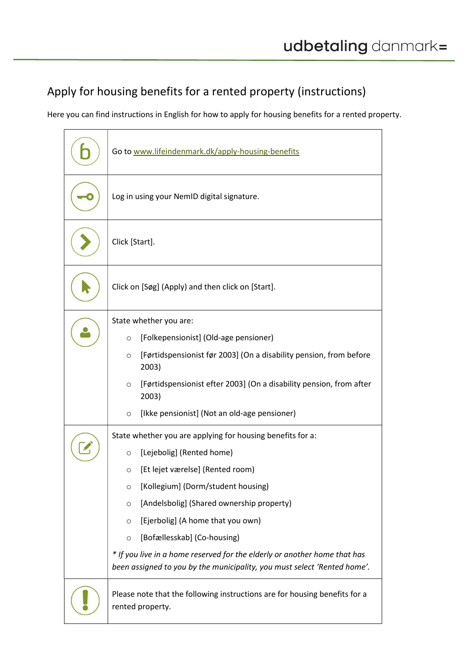## Apply for housing benefits for a rented property (instructions)

Here you can find instructions in English for how to apply for housing benefits for a rented property.

| Go to www.lifeindenmark.dk/apply-housing-benefits                                                                                                     |
|-------------------------------------------------------------------------------------------------------------------------------------------------------|
| Log in using your NemID digital signature.                                                                                                            |
| Click [Start].                                                                                                                                        |
| Click on [Søg] (Apply) and then click on [Start].                                                                                                     |
| State whether you are:                                                                                                                                |
| [Folkepensionist] (Old-age pensioner)<br>$\circ$                                                                                                      |
| [Førtidspensionist før 2003] (On a disability pension, from before<br>$\circ$<br>2003)                                                                |
| [Førtidspensionist efter 2003] (On a disability pension, from after<br>$\circ$<br>2003)                                                               |
| [Ikke pensionist] (Not an old-age pensioner)<br>O                                                                                                     |
| State whether you are applying for housing benefits for a:                                                                                            |
| [Lejebolig] (Rented home)<br>$\circ$                                                                                                                  |
| [Et lejet værelse] (Rented room)<br>O                                                                                                                 |
| [Kollegium] (Dorm/student housing)                                                                                                                    |
| [Andelsbolig] (Shared ownership property)<br>$\circ$                                                                                                  |
| [Ejerbolig] (A home that you own)<br>O                                                                                                                |
| [Bofællesskab] (Co-housing)<br>$\circ$                                                                                                                |
| * If you live in a home reserved for the elderly or another home that has<br>been assigned to you by the municipality, you must select 'Rented home'. |
| Please note that the following instructions are for housing benefits for a<br>rented property.                                                        |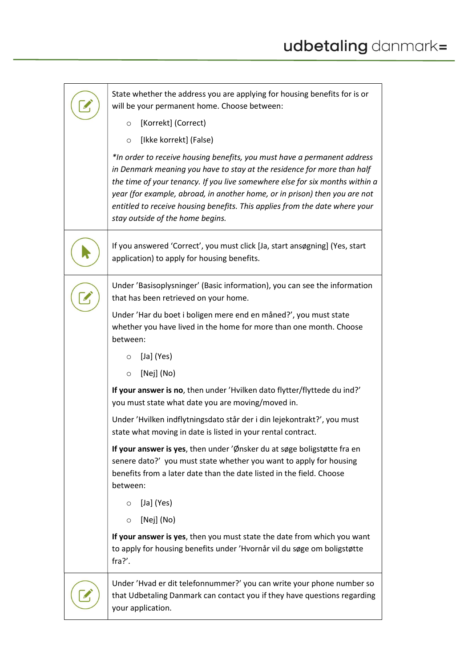|  | State whether the address you are applying for housing benefits for is or<br>will be your permanent home. Choose between:                                                                                                                                                                                                                                                                                                            |
|--|--------------------------------------------------------------------------------------------------------------------------------------------------------------------------------------------------------------------------------------------------------------------------------------------------------------------------------------------------------------------------------------------------------------------------------------|
|  | [Korrekt] (Correct)<br>$\circ$                                                                                                                                                                                                                                                                                                                                                                                                       |
|  | [Ikke korrekt] (False)<br>$\circ$                                                                                                                                                                                                                                                                                                                                                                                                    |
|  | *In order to receive housing benefits, you must have a permanent address<br>in Denmark meaning you have to stay at the residence for more than half<br>the time of your tenancy. If you live somewhere else for six months within a<br>year (for example, abroad, in another home, or in prison) then you are not<br>entitled to receive housing benefits. This applies from the date where your<br>stay outside of the home begins. |
|  | If you answered 'Correct', you must click [Ja, start ansøgning] (Yes, start<br>application) to apply for housing benefits.                                                                                                                                                                                                                                                                                                           |
|  | Under 'Basisoplysninger' (Basic information), you can see the information<br>that has been retrieved on your home.                                                                                                                                                                                                                                                                                                                   |
|  | Under 'Har du boet i boligen mere end en måned?', you must state<br>whether you have lived in the home for more than one month. Choose<br>between:                                                                                                                                                                                                                                                                                   |
|  | [Ja] (Yes)<br>$\circ$                                                                                                                                                                                                                                                                                                                                                                                                                |
|  | [Nej] (No)<br>$\circ$                                                                                                                                                                                                                                                                                                                                                                                                                |
|  | If your answer is no, then under 'Hvilken dato flytter/flyttede du ind?'<br>you must state what date you are moving/moved in.                                                                                                                                                                                                                                                                                                        |
|  | Under 'Hvilken indflytningsdato står der i din lejekontrakt?', you must<br>state what moving in date is listed in your rental contract.                                                                                                                                                                                                                                                                                              |
|  | If your answer is yes, then under 'Ønsker du at søge boligstøtte fra en<br>senere dato?' you must state whether you want to apply for housing<br>benefits from a later date than the date listed in the field. Choose<br>between:                                                                                                                                                                                                    |
|  | [Ja] (Yes)<br>O                                                                                                                                                                                                                                                                                                                                                                                                                      |
|  | [Nej] (No)<br>$\circ$                                                                                                                                                                                                                                                                                                                                                                                                                |
|  | If your answer is yes, then you must state the date from which you want<br>to apply for housing benefits under 'Hvornår vil du søge om boligstøtte<br>fra?'.                                                                                                                                                                                                                                                                         |
|  | Under 'Hvad er dit telefonnummer?' you can write your phone number so<br>that Udbetaling Danmark can contact you if they have questions regarding<br>your application.                                                                                                                                                                                                                                                               |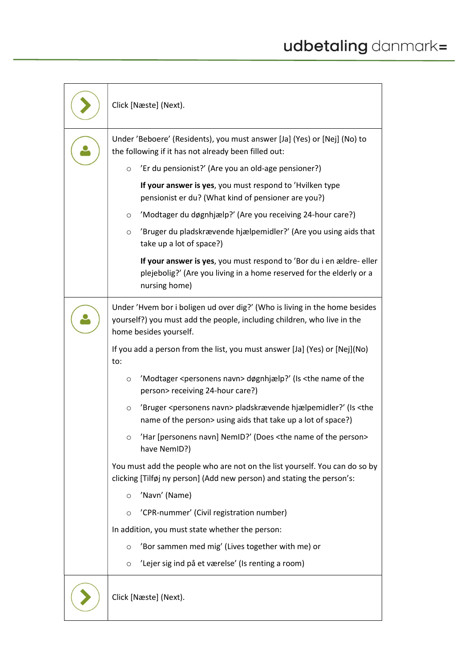| Click [Næste] (Next).                                                                                                                                                            |
|----------------------------------------------------------------------------------------------------------------------------------------------------------------------------------|
| Under 'Beboere' (Residents), you must answer [Ja] (Yes) or [Nej] (No) to<br>the following if it has not already been filled out:                                                 |
| 'Er du pensionist?' (Are you an old-age pensioner?)<br>$\circ$                                                                                                                   |
| If your answer is yes, you must respond to 'Hvilken type<br>pensionist er du? (What kind of pensioner are you?)                                                                  |
| 'Modtager du døgnhjælp?' (Are you receiving 24-hour care?)<br>O                                                                                                                  |
| 'Bruger du pladskrævende hjælpemidler?' (Are you using aids that<br>$\circ$<br>take up a lot of space?)                                                                          |
| If your answer is yes, you must respond to 'Bor du i en ældre- eller<br>plejebolig?' (Are you living in a home reserved for the elderly or a<br>nursing home)                    |
| Under 'Hvem bor i boligen ud over dig?' (Who is living in the home besides<br>yourself?) you must add the people, including children, who live in the<br>home besides yourself.  |
| If you add a person from the list, you must answer [Ja] (Yes) or [Nej](No)<br>to:                                                                                                |
| 'Modtager <personens navn=""> døgnhjælp?' (Is <the name="" of="" the<br=""><math>\circ</math><br/>person&gt; receiving 24-hour care?)</the></personens>                          |
| 'Bruger <personens navn=""> pladskrævende hjælpemidler?' (Is <the<br><math>\circ</math><br/>name of the person&gt; using aids that take up a lot of space?)</the<br></personens> |
| 'Har [personens navn] NemID?' (Does <the name="" of="" person="" the=""><br/><math display="inline">\circ</math><br/>have NemID?)</the>                                          |
| You must add the people who are not on the list yourself. You can do so by<br>clicking [Tilføj ny person] (Add new person) and stating the person's:                             |
| 'Navn' (Name)<br>$\circ$                                                                                                                                                         |
| 'CPR-nummer' (Civil registration number)<br>$\circ$                                                                                                                              |
| In addition, you must state whether the person:                                                                                                                                  |
| 'Bor sammen med mig' (Lives together with me) or<br>$\circ$                                                                                                                      |
| 'Lejer sig ind på et værelse' (Is renting a room)<br>$\circ$                                                                                                                     |
| Click [Næste] (Next).                                                                                                                                                            |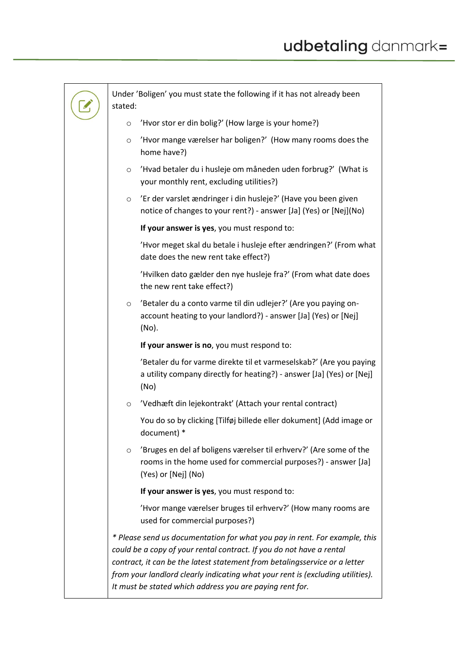| Under 'Boligen' you must state the following if it has not already been<br>stated:                                                                                                                                                                                                                                                                                             |
|--------------------------------------------------------------------------------------------------------------------------------------------------------------------------------------------------------------------------------------------------------------------------------------------------------------------------------------------------------------------------------|
| 'Hvor stor er din bolig?' (How large is your home?)<br>$\circ$                                                                                                                                                                                                                                                                                                                 |
| 'Hvor mange værelser har boligen?' (How many rooms does the<br>$\circ$<br>home have?)                                                                                                                                                                                                                                                                                          |
| 'Hvad betaler du i husleje om måneden uden forbrug?' (What is<br>$\circ$<br>your monthly rent, excluding utilities?)                                                                                                                                                                                                                                                           |
| 'Er der varslet ændringer i din husleje?' (Have you been given<br>$\circ$<br>notice of changes to your rent?) - answer [Ja] (Yes) or [Nej](No)                                                                                                                                                                                                                                 |
| If your answer is yes, you must respond to:                                                                                                                                                                                                                                                                                                                                    |
| 'Hvor meget skal du betale i husleje efter ændringen?' (From what<br>date does the new rent take effect?)                                                                                                                                                                                                                                                                      |
| 'Hvilken dato gælder den nye husleje fra?' (From what date does<br>the new rent take effect?)                                                                                                                                                                                                                                                                                  |
| 'Betaler du a conto varme til din udlejer?' (Are you paying on-<br>$\circ$<br>account heating to your landlord?) - answer [Ja] (Yes) or [Nej]<br>(No).                                                                                                                                                                                                                         |
| If your answer is no, you must respond to:                                                                                                                                                                                                                                                                                                                                     |
| 'Betaler du for varme direkte til et varmeselskab?' (Are you paying<br>a utility company directly for heating?) - answer [Ja] (Yes) or [Nej]<br>(No)                                                                                                                                                                                                                           |
| 'Vedhæft din lejekontrakt' (Attach your rental contract)<br>$\circ$                                                                                                                                                                                                                                                                                                            |
| You do so by clicking [Tilføj billede eller dokument] (Add image or<br>document) *                                                                                                                                                                                                                                                                                             |
| 'Bruges en del af boligens værelser til erhverv?' (Are some of the<br>$\circ$<br>rooms in the home used for commercial purposes?) - answer [Ja]<br>(Yes) or [Nej] (No)                                                                                                                                                                                                         |
| If your answer is yes, you must respond to:                                                                                                                                                                                                                                                                                                                                    |
| 'Hvor mange værelser bruges til erhverv?' (How many rooms are<br>used for commercial purposes?)                                                                                                                                                                                                                                                                                |
| * Please send us documentation for what you pay in rent. For example, this<br>could be a copy of your rental contract. If you do not have a rental<br>contract, it can be the latest statement from betalingsservice or a letter<br>from your landlord clearly indicating what your rent is (excluding utilities).<br>It must be stated which address you are paying rent for. |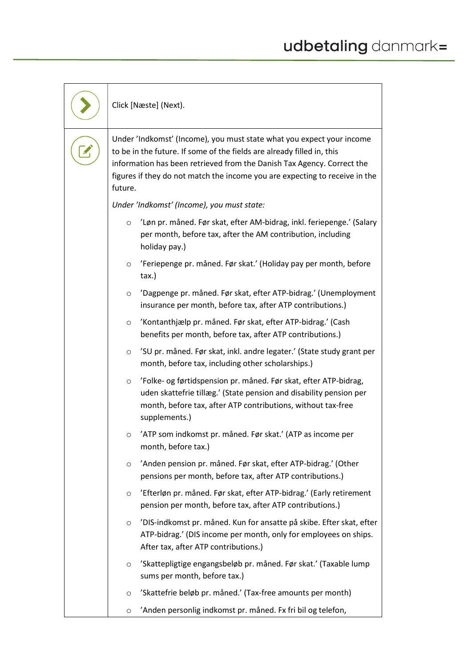| Click [Næste] (Next).                                                                                                                                                                                                                                                                                               |
|---------------------------------------------------------------------------------------------------------------------------------------------------------------------------------------------------------------------------------------------------------------------------------------------------------------------|
| Under 'Indkomst' (Income), you must state what you expect your income<br>to be in the future. If some of the fields are already filled in, this<br>information has been retrieved from the Danish Tax Agency. Correct the<br>figures if they do not match the income you are expecting to receive in the<br>future. |
| Under 'Indkomst' (Income), you must state:                                                                                                                                                                                                                                                                          |
| 'Løn pr. måned. Før skat, efter AM-bidrag, inkl. feriepenge.' (Salary<br>$\circ$<br>per month, before tax, after the AM contribution, including<br>holiday pay.)                                                                                                                                                    |
| 'Feriepenge pr. måned. Før skat.' (Holiday pay per month, before<br>$\circ$<br>tax.)                                                                                                                                                                                                                                |
| 'Dagpenge pr. måned. Før skat, efter ATP-bidrag.' (Unemployment<br>$\circ$<br>insurance per month, before tax, after ATP contributions.)                                                                                                                                                                            |
| 'Kontanthjælp pr. måned. Før skat, efter ATP-bidrag.' (Cash<br>$\circ$<br>benefits per month, before tax, after ATP contributions.)                                                                                                                                                                                 |
| 'SU pr. måned. Før skat, inkl. andre legater.' (State study grant per<br>$\circ$<br>month, before tax, including other scholarships.)                                                                                                                                                                               |
| 'Folke- og førtidspension pr. måned. Før skat, efter ATP-bidrag,<br>$\circ$<br>uden skattefrie tillæg.' (State pension and disability pension per<br>month, before tax, after ATP contributions, without tax-free<br>supplements.)                                                                                  |
| 'ATP som indkomst pr. måned. Før skat.' (ATP as income per<br>$\circ$<br>month, before tax.)                                                                                                                                                                                                                        |
| 'Anden pension pr. måned. Før skat, efter ATP-bidrag.' (Other<br>O<br>pensions per month, before tax, after ATP contributions.)                                                                                                                                                                                     |
| 'Efterløn pr. måned. Før skat, efter ATP-bidrag.' (Early retirement<br>O<br>pension per month, before tax, after ATP contributions.)                                                                                                                                                                                |
| 'DIS-indkomst pr. måned. Kun for ansatte på skibe. Efter skat, efter<br>O<br>ATP-bidrag.' (DIS income per month, only for employees on ships.<br>After tax, after ATP contributions.)                                                                                                                               |
| 'Skattepligtige engangsbeløb pr. måned. Før skat.' (Taxable lump<br>O<br>sums per month, before tax.)                                                                                                                                                                                                               |
| 'Skattefrie beløb pr. måned.' (Tax-free amounts per month)<br>O                                                                                                                                                                                                                                                     |
| 'Anden personlig indkomst pr. måned. Fx fri bil og telefon,<br>O                                                                                                                                                                                                                                                    |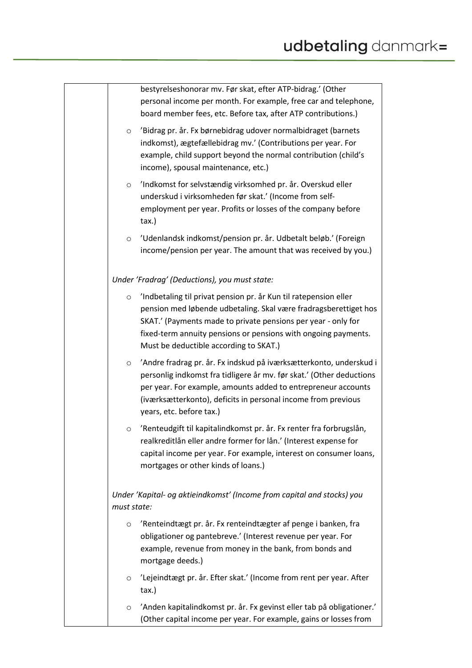|             | bestyrelseshonorar mv. Før skat, efter ATP-bidrag.' (Other<br>personal income per month. For example, free car and telephone,<br>board member fees, etc. Before tax, after ATP contributions.)                                                                                                                    |
|-------------|-------------------------------------------------------------------------------------------------------------------------------------------------------------------------------------------------------------------------------------------------------------------------------------------------------------------|
| $\circ$     | 'Bidrag pr. år. Fx børnebidrag udover normalbidraget (barnets<br>indkomst), ægtefællebidrag mv.' (Contributions per year. For<br>example, child support beyond the normal contribution (child's<br>income), spousal maintenance, etc.)                                                                            |
| $\circ$     | 'Indkomst for selvstændig virksomhed pr. år. Overskud eller<br>underskud i virksomheden før skat.' (Income from self-<br>employment per year. Profits or losses of the company before<br>tax.)                                                                                                                    |
| $\circ$     | 'Udenlandsk indkomst/pension pr. år. Udbetalt beløb.' (Foreign<br>income/pension per year. The amount that was received by you.)                                                                                                                                                                                  |
|             | Under 'Fradrag' (Deductions), you must state:                                                                                                                                                                                                                                                                     |
| $\circ$     | 'Indbetaling til privat pension pr. år Kun til ratepension eller<br>pension med løbende udbetaling. Skal være fradragsberettiget hos<br>SKAT.' (Payments made to private pensions per year - only for<br>fixed-term annuity pensions or pensions with ongoing payments.<br>Must be deductible according to SKAT.) |
| $\circ$     | 'Andre fradrag pr. år. Fx indskud på iværksætterkonto, underskud i<br>personlig indkomst fra tidligere år mv. før skat.' (Other deductions<br>per year. For example, amounts added to entrepreneur accounts<br>(iværksætterkonto), deficits in personal income from previous<br>years, etc. before tax.)          |
| O           | 'Renteudgift til kapitalindkomst pr. år. Fx renter fra forbrugslån,<br>realkreditlån eller andre former for lån.' (Interest expense for<br>capital income per year. For example, interest on consumer loans,<br>mortgages or other kinds of loans.)                                                               |
| must state: | Under 'Kapital- og aktieindkomst' (Income from capital and stocks) you                                                                                                                                                                                                                                            |
| $\circ$     | 'Renteindtægt pr. år. Fx renteindtægter af penge i banken, fra<br>obligationer og pantebreve.' (Interest revenue per year. For<br>example, revenue from money in the bank, from bonds and<br>mortgage deeds.)                                                                                                     |
| $\circ$     | 'Lejeindtægt pr. år. Efter skat.' (Income from rent per year. After<br>tax.)                                                                                                                                                                                                                                      |
| $\circ$     | 'Anden kapitalindkomst pr. år. Fx gevinst eller tab på obligationer.'<br>(Other capital income per year. For example, gains or losses from                                                                                                                                                                        |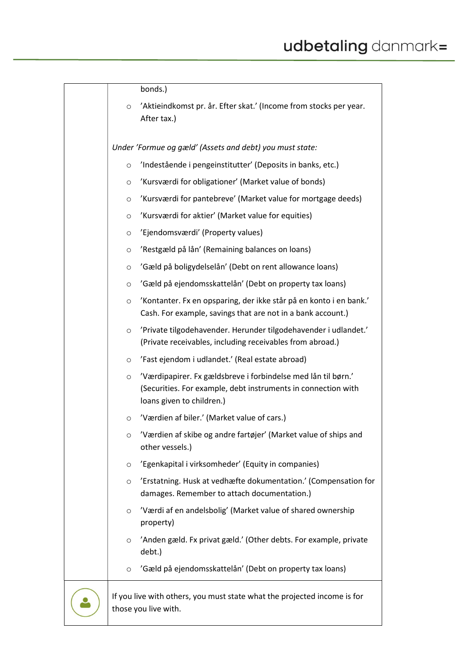| bonds.)                                                                                                                                                                |
|------------------------------------------------------------------------------------------------------------------------------------------------------------------------|
| 'Aktieindkomst pr. år. Efter skat.' (Income from stocks per year.<br>O<br>After tax.)                                                                                  |
| Under 'Formue og gæld' (Assets and debt) you must state:                                                                                                               |
| 'Indestående i pengeinstitutter' (Deposits in banks, etc.)<br>O                                                                                                        |
| 'Kursværdi for obligationer' (Market value of bonds)<br>O                                                                                                              |
| 'Kursværdi for pantebreve' (Market value for mortgage deeds)<br>O                                                                                                      |
| 'Kursværdi for aktier' (Market value for equities)<br>O                                                                                                                |
| 'Ejendomsværdi' (Property values)<br>O                                                                                                                                 |
| 'Restgæld på lån' (Remaining balances on loans)<br>O                                                                                                                   |
| 'Gæld på boligydelselån' (Debt on rent allowance loans)<br>O                                                                                                           |
| 'Gæld på ejendomsskattelån' (Debt on property tax loans)<br>O                                                                                                          |
| 'Kontanter. Fx en opsparing, der ikke står på en konto i en bank.'<br>$\circ$<br>Cash. For example, savings that are not in a bank account.)                           |
| 'Private tilgodehavender. Herunder tilgodehavender i udlandet.'<br>$\circ$<br>(Private receivables, including receivables from abroad.)                                |
| 'Fast ejendom i udlandet.' (Real estate abroad)<br>$\circ$                                                                                                             |
| 'Værdipapirer. Fx gældsbreve i forbindelse med lån til børn.'<br>$\circ$<br>(Securities. For example, debt instruments in connection with<br>loans given to children.) |
| 'Værdien af biler.' (Market value of cars.)<br>O                                                                                                                       |
| 'Værdien af skibe og andre fartøjer' (Market value of ships and<br>⌒<br>other vessels.)                                                                                |
| 'Egenkapital i virksomheder' (Equity in companies)<br>O                                                                                                                |
| 'Erstatning. Husk at vedhæfte dokumentation.' (Compensation for<br>$\circ$<br>damages. Remember to attach documentation.)                                              |
| 'Værdi af en andelsbolig' (Market value of shared ownership<br>O<br>property)                                                                                          |
| 'Anden gæld. Fx privat gæld.' (Other debts. For example, private<br>O<br>debt.)                                                                                        |
| 'Gæld på ejendomsskattelån' (Debt on property tax loans)<br>O                                                                                                          |
| If you live with others, you must state what the projected income is for<br>those you live with.                                                                       |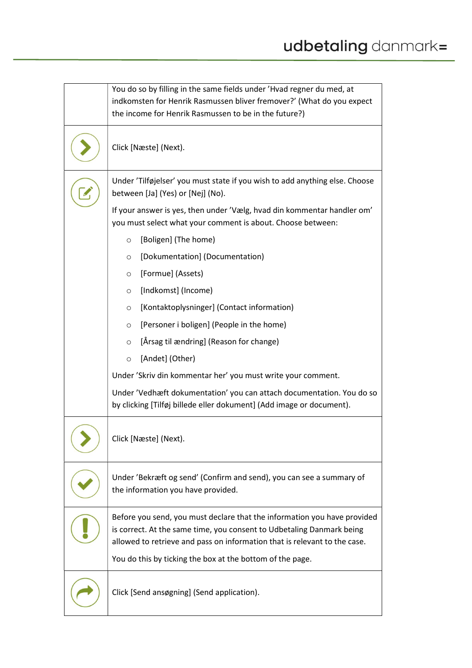| You do so by filling in the same fields under 'Hvad regner du med, at                                                                                                                                                          |
|--------------------------------------------------------------------------------------------------------------------------------------------------------------------------------------------------------------------------------|
| indkomsten for Henrik Rasmussen bliver fremover?' (What do you expect                                                                                                                                                          |
| the income for Henrik Rasmussen to be in the future?)                                                                                                                                                                          |
| Click [Næste] (Next).                                                                                                                                                                                                          |
| Under 'Tilføjelser' you must state if you wish to add anything else. Choose<br>between [Ja] (Yes) or [Nej] (No).                                                                                                               |
| If your answer is yes, then under 'Vælg, hvad din kommentar handler om'<br>you must select what your comment is about. Choose between:                                                                                         |
| [Boligen] (The home)<br>$\circ$                                                                                                                                                                                                |
| [Dokumentation] (Documentation)<br>$\circ$                                                                                                                                                                                     |
| [Formue] (Assets)<br>O                                                                                                                                                                                                         |
| [Indkomst] (Income)<br>$\circ$                                                                                                                                                                                                 |
| [Kontaktoplysninger] (Contact information)<br>O                                                                                                                                                                                |
| [Personer i boligen] (People in the home)<br>O                                                                                                                                                                                 |
| [Årsag til ændring] (Reason for change)<br>$\circ$                                                                                                                                                                             |
| [Andet] (Other)<br>O                                                                                                                                                                                                           |
| Under 'Skriv din kommentar her' you must write your comment.                                                                                                                                                                   |
| Under 'Vedhæft dokumentation' you can attach documentation. You do so<br>by clicking [Tilføj billede eller dokument] (Add image or document).                                                                                  |
| Click [Næste] (Next).                                                                                                                                                                                                          |
| Under 'Bekræft og send' (Confirm and send), you can see a summary of<br>the information you have provided.                                                                                                                     |
| Before you send, you must declare that the information you have provided<br>is correct. At the same time, you consent to Udbetaling Danmark being<br>allowed to retrieve and pass on information that is relevant to the case. |
| You do this by ticking the box at the bottom of the page.                                                                                                                                                                      |
| Click [Send ansøgning] (Send application).                                                                                                                                                                                     |